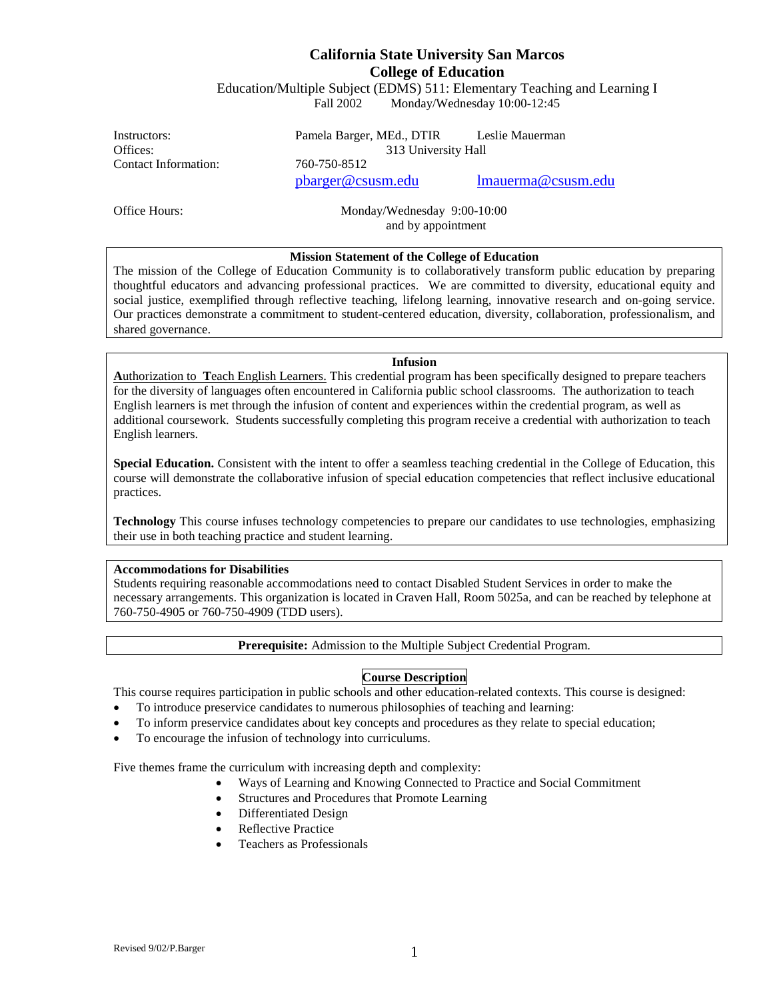# **California State University San Marcos College of Education**

Education/Multiple Subject (EDMS) 511: Elementary Teaching and Learning I Fall 2002 Monday/Wednesday 10:00-12:45

Contact Information: 760-750-8512

Instructors: Pamela Barger, MEd., DTIR Leslie Mauerman Offices: 313 University Hall

[pbarger@csusm.edu](mailto:pbarger@csusm.edu) [lmauerma@csusm.edu](mailto:lmauerman@csusm.edu)

Office Hours: Monday/Wednesday 9:00-10:00 and by appointment

# **Mission Statement of the College of Education**

The mission of the College of Education Community is to collaboratively transform public education by preparing thoughtful educators and advancing professional practices. We are committed to diversity, educational equity and social justice, exemplified through reflective teaching, lifelong learning, innovative research and on-going service. Our practices demonstrate a commitment to student-centered education, diversity, collaboration, professionalism, and shared governance.

#### **Infusion**

**A**uthorization to **T**each English Learners. This credential program has been specifically designed to prepare teachers for the diversity of languages often encountered in California public school classrooms. The authorization to teach English learners is met through the infusion of content and experiences within the credential program, as well as additional coursework. Students successfully completing this program receive a credential with authorization to teach English learners.

**Special Education.** Consistent with the intent to offer a seamless teaching credential in the College of Education, this course will demonstrate the collaborative infusion of special education competencies that reflect inclusive educational practices.

**Technology** This course infuses technology competencies to prepare our candidates to use technologies, emphasizing their use in both teaching practice and student learning.

#### **Accommodations for Disabilities**

Students requiring reasonable accommodations need to contact Disabled Student Services in order to make the necessary arrangements. This organization is located in Craven Hall, Room 5025a, and can be reached by telephone at 760-750-4905 or 760-750-4909 (TDD users).

**Prerequisite:** Admission to the Multiple Subject Credential Program.

# **Course Description**

This course requires participation in public schools and other education-related contexts. This course is designed:

- To introduce preservice candidates to numerous philosophies of teaching and learning:
- To inform preservice candidates about key concepts and procedures as they relate to special education;
- To encourage the infusion of technology into curriculums.

Five themes frame the curriculum with increasing depth and complexity:

- Ways of Learning and Knowing Connected to Practice and Social Commitment
- Structures and Procedures that Promote Learning
- Differentiated Design
- Reflective Practice
- Teachers as Professionals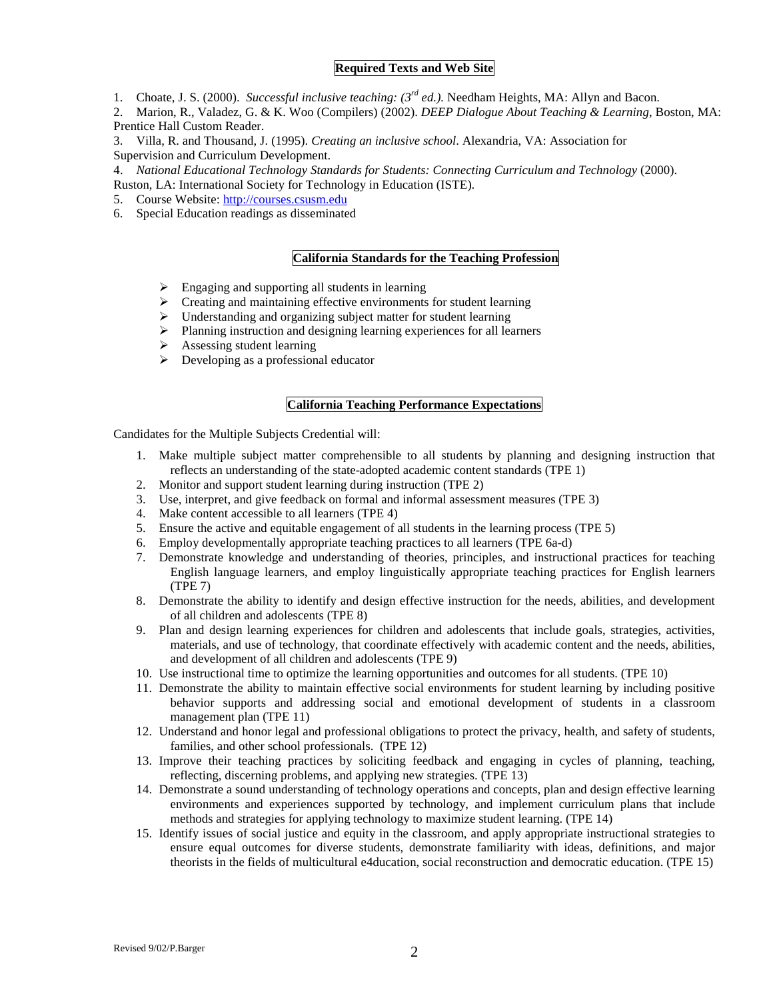#### **Required Texts and Web Site**

- 1. Choate, J. S. (2000). *Successful inclusive teaching: (3rd ed.).* Needham Heights, MA: Allyn and Bacon.
- 2. Marion, R., Valadez, G. & K. Woo (Compilers) (2002). *DEEP Dialogue About Teaching & Learning*, Boston, MA: Prentice Hall Custom Reader.
- 3. Villa, R. and Thousand, J. (1995). *Creating an inclusive school*. Alexandria, VA: Association for Supervision and Curriculum Development.
- 4. *National Educational Technology Standards for Students: Connecting Curriculum and Technology* (2000).
- Ruston, LA: International Society for Technology in Education (ISTE).
- 5. Course Website: [http://courses.csusm.edu](http://courses.csusm.edu/)
- 6. Special Education readings as disseminated

#### **California Standards for the Teaching Profession**

- $\triangleright$  Engaging and supporting all students in learning
- $\triangleright$  Creating and maintaining effective environments for student learning
- Understanding and organizing subject matter for student learning
- $\triangleright$  Planning instruction and designing learning experiences for all learners
- $\triangleright$  Assessing student learning
- $\triangleright$  Developing as a professional educator

#### **California Teaching Performance Expectations**

Candidates for the Multiple Subjects Credential will:

- 1. Make multiple subject matter comprehensible to all students by planning and designing instruction that reflects an understanding of the state-adopted academic content standards (TPE 1)
- 2. Monitor and support student learning during instruction (TPE 2)
- 3. Use, interpret, and give feedback on formal and informal assessment measures (TPE 3)
- 4. Make content accessible to all learners (TPE 4)
- 5. Ensure the active and equitable engagement of all students in the learning process (TPE 5)
- 6. Employ developmentally appropriate teaching practices to all learners (TPE 6a-d)
- 7. Demonstrate knowledge and understanding of theories, principles, and instructional practices for teaching English language learners, and employ linguistically appropriate teaching practices for English learners (TPE 7)
- 8. Demonstrate the ability to identify and design effective instruction for the needs, abilities, and development of all children and adolescents (TPE 8)
- 9. Plan and design learning experiences for children and adolescents that include goals, strategies, activities, materials, and use of technology, that coordinate effectively with academic content and the needs, abilities, and development of all children and adolescents (TPE 9)
- 10. Use instructional time to optimize the learning opportunities and outcomes for all students. (TPE 10)
- 11. Demonstrate the ability to maintain effective social environments for student learning by including positive behavior supports and addressing social and emotional development of students in a classroom management plan (TPE 11)
- 12. Understand and honor legal and professional obligations to protect the privacy, health, and safety of students, families, and other school professionals. (TPE 12)
- 13. Improve their teaching practices by soliciting feedback and engaging in cycles of planning, teaching, reflecting, discerning problems, and applying new strategies. (TPE 13)
- 14. Demonstrate a sound understanding of technology operations and concepts, plan and design effective learning environments and experiences supported by technology, and implement curriculum plans that include methods and strategies for applying technology to maximize student learning. (TPE 14)
- 15. Identify issues of social justice and equity in the classroom, and apply appropriate instructional strategies to ensure equal outcomes for diverse students, demonstrate familiarity with ideas, definitions, and major theorists in the fields of multicultural e4ducation, social reconstruction and democratic education. (TPE 15)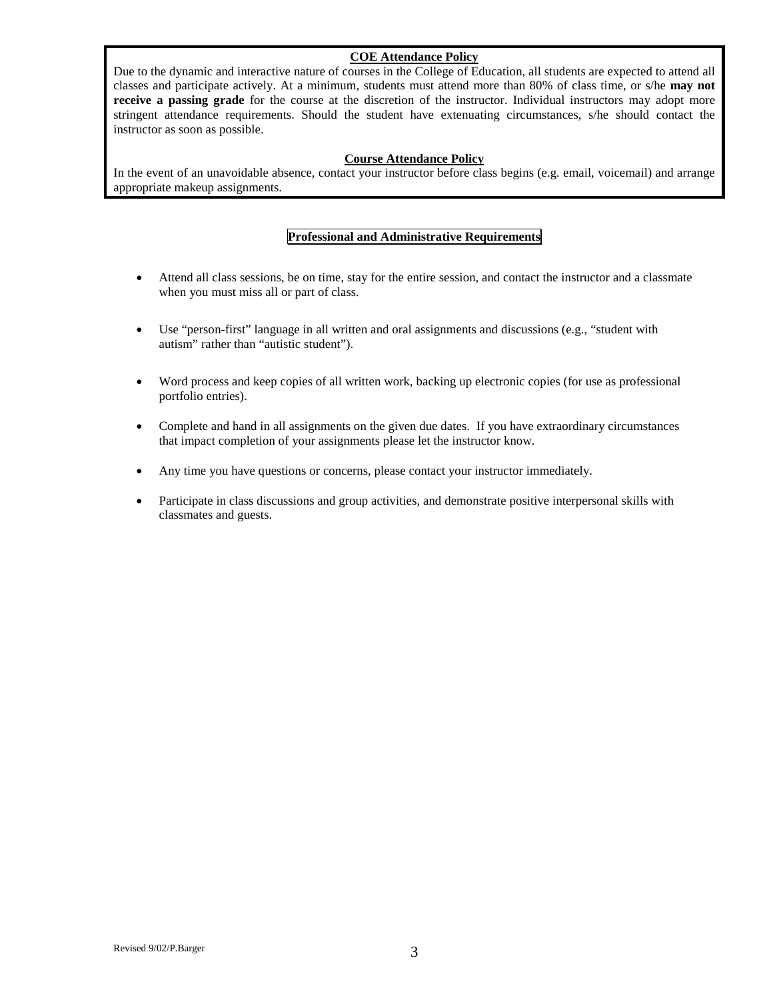# **COE Attendance Policy**

Due to the dynamic and interactive nature of courses in the College of Education, all students are expected to attend all classes and participate actively. At a minimum, students must attend more than 80% of class time, or s/he **may not receive a passing grade** for the course at the discretion of the instructor. Individual instructors may adopt more stringent attendance requirements. Should the student have extenuating circumstances, s/he should contact the instructor as soon as possible.

## **Course Attendance Policy**

In the event of an unavoidable absence, contact your instructor before class begins (e.g. email, voicemail) and arrange appropriate makeup assignments.

# **Professional and Administrative Requirements**

- Attend all class sessions, be on time, stay for the entire session, and contact the instructor and a classmate when you must miss all or part of class.
- Use "person-first" language in all written and oral assignments and discussions (e.g., "student with autism" rather than "autistic student").
- Word process and keep copies of all written work, backing up electronic copies (for use as professional portfolio entries).
- Complete and hand in all assignments on the given due dates. If you have extraordinary circumstances that impact completion of your assignments please let the instructor know.
- Any time you have questions or concerns, please contact your instructor immediately.
- Participate in class discussions and group activities, and demonstrate positive interpersonal skills with classmates and guests.